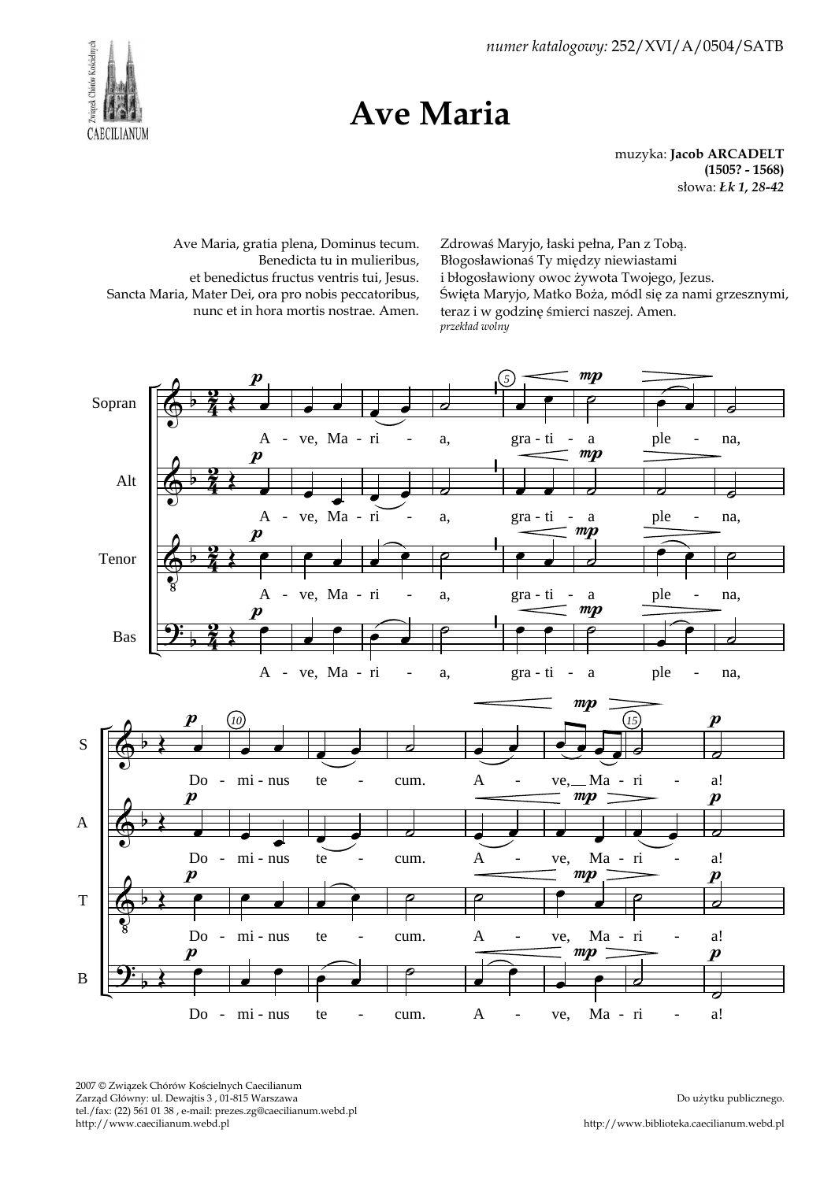2007 © Związek Chórów Kościelnych Caecilianum Zarząd Główny: ul. Dewajtis 3 , 01-815 Warszawa tel./fax: (22) 561 01 38 , e-mail: prezes.zg@caecilianum.webd.pl http://www.caecilianum.webd.pl

http://www.biblioteka.caecilianum.webd.pl

numer katalogowy: 252/XVI/A/0504/SATB

Ave Maria

muzyka: Jacob ARCADELT (1505? - 1568) słowa: Łk 1, 28-42

Ave Maria, gratia plena, Dominus tecum. Benedicta tu in mulieribus, et benedictus fructus ventris tui, Jesus. Sancta Maria, Mater Dei, ora pro nobis peccatoribus, nunc et in hora mortis nostrae. Amen.

Zdrowaś Maryjo, łaski pełna, Pan z Tobą. Błogosławionaś Ty między niewiastami i błogosławiony owoc żywota Twojego, Jezus. Święta Maryjo, Matko Boża, módl się za nami grzesznymi, teraz i w godzinę śmierci naszej. Amen. przekład wolny



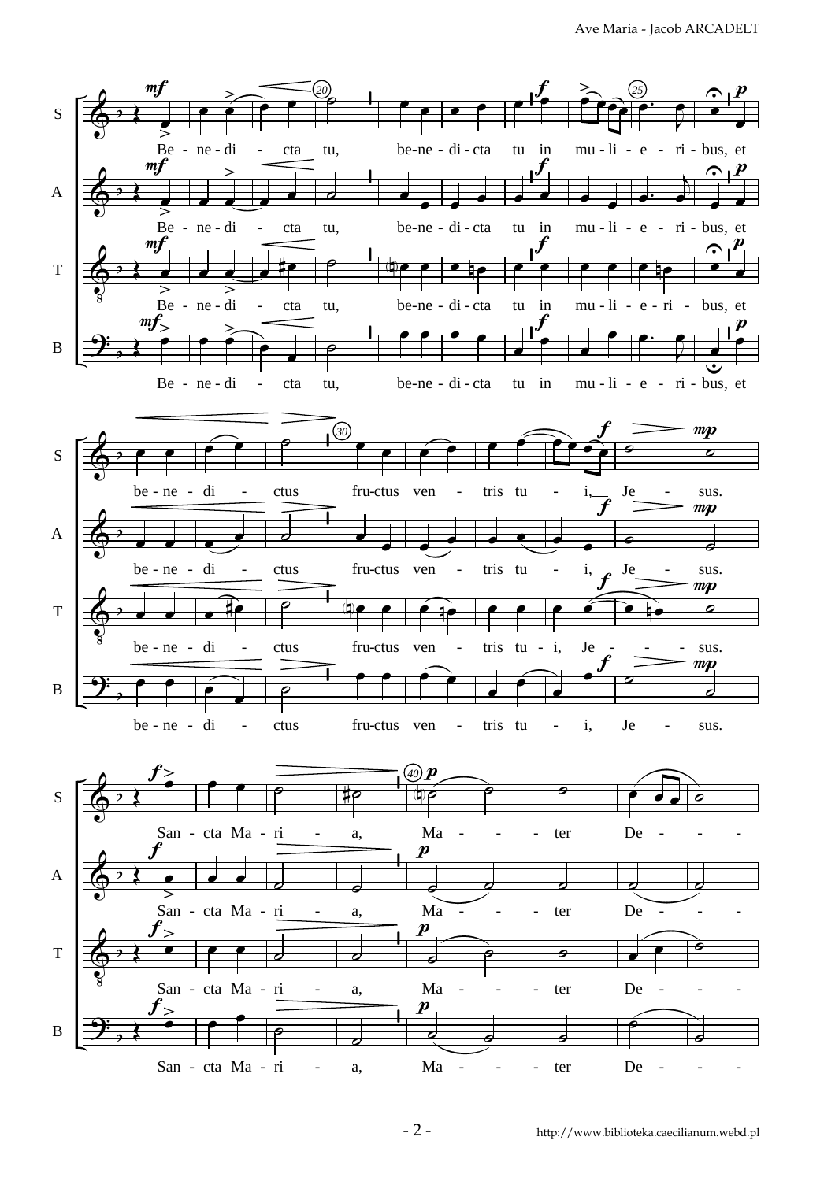